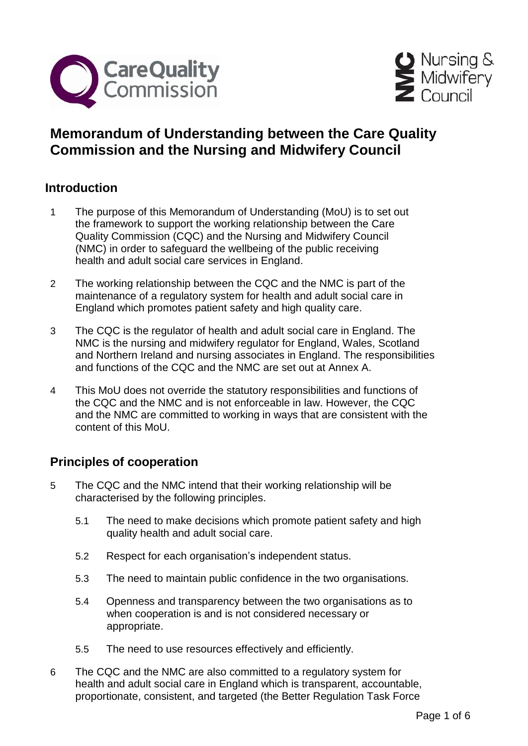



## **Memorandum of Understanding between the Care Quality Commission and the Nursing and Midwifery Council**

## **Introduction**

- 1 The purpose of this Memorandum of Understanding (MoU) is to set out the framework to support the working relationship between the Care Quality Commission (CQC) and the Nursing and Midwifery Council (NMC) in order to safeguard the wellbeing of the public receiving health and adult social care services in England.
- 2 The working relationship between the CQC and the NMC is part of the maintenance of a regulatory system for health and adult social care in England which promotes patient safety and high quality care.
- 3 The CQC is the regulator of health and adult social care in England. The NMC is the nursing and midwifery regulator for England, Wales, Scotland and Northern Ireland and nursing associates in England. The responsibilities and functions of the CQC and the NMC are set out at Annex A.
- 4 This MoU does not override the statutory responsibilities and functions of the CQC and the NMC and is not enforceable in law. However, the CQC and the NMC are committed to working in ways that are consistent with the content of this MoU.

## **Principles of cooperation**

- 5 The CQC and the NMC intend that their working relationship will be characterised by the following principles.
	- 5.1 The need to make decisions which promote patient safety and high quality health and adult social care.
	- 5.2 Respect for each organisation's independent status.
	- 5.3 The need to maintain public confidence in the two organisations.
	- 5.4 Openness and transparency between the two organisations as to when cooperation is and is not considered necessary or appropriate.
	- 5.5 The need to use resources effectively and efficiently.
- 6 The CQC and the NMC are also committed to a regulatory system for health and adult social care in England which is transparent, accountable, proportionate, consistent, and targeted (the Better Regulation Task Force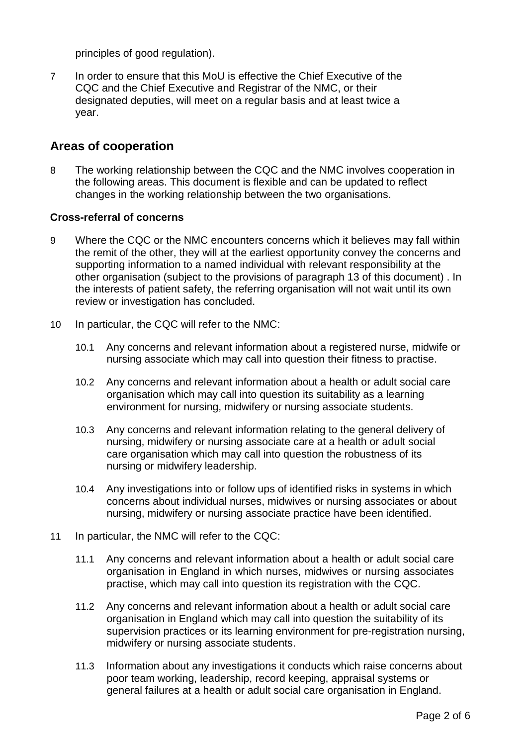principles of good regulation).

7 In order to ensure that this MoU is effective the Chief Executive of the CQC and the Chief Executive and Registrar of the NMC, or their designated deputies, will meet on a regular basis and at least twice a year.

#### **Areas of cooperation**

8 The working relationship between the CQC and the NMC involves cooperation in the following areas. This document is flexible and can be updated to reflect changes in the working relationship between the two organisations.

#### **Cross-referral of concerns**

- 9 Where the CQC or the NMC encounters concerns which it believes may fall within the remit of the other, they will at the earliest opportunity convey the concerns and supporting information to a named individual with relevant responsibility at the other organisation (subject to the provisions of paragraph 13 of this document) . In the interests of patient safety, the referring organisation will not wait until its own review or investigation has concluded.
- 10 In particular, the CQC will refer to the NMC:
	- 10.1 Any concerns and relevant information about a registered nurse, midwife or nursing associate which may call into question their fitness to practise.
	- 10.2 Any concerns and relevant information about a health or adult social care organisation which may call into question its suitability as a learning environment for nursing, midwifery or nursing associate students.
	- 10.3 Any concerns and relevant information relating to the general delivery of nursing, midwifery or nursing associate care at a health or adult social care organisation which may call into question the robustness of its nursing or midwifery leadership.
	- 10.4 Any investigations into or follow ups of identified risks in systems in which concerns about individual nurses, midwives or nursing associates or about nursing, midwifery or nursing associate practice have been identified.
- 11 In particular, the NMC will refer to the CQC:
	- 11.1 Any concerns and relevant information about a health or adult social care organisation in England in which nurses, midwives or nursing associates practise, which may call into question its registration with the CQC.
	- 11.2 Any concerns and relevant information about a health or adult social care organisation in England which may call into question the suitability of its supervision practices or its learning environment for pre-registration nursing, midwifery or nursing associate students.
	- 11.3 Information about any investigations it conducts which raise concerns about poor team working, leadership, record keeping, appraisal systems or general failures at a health or adult social care organisation in England.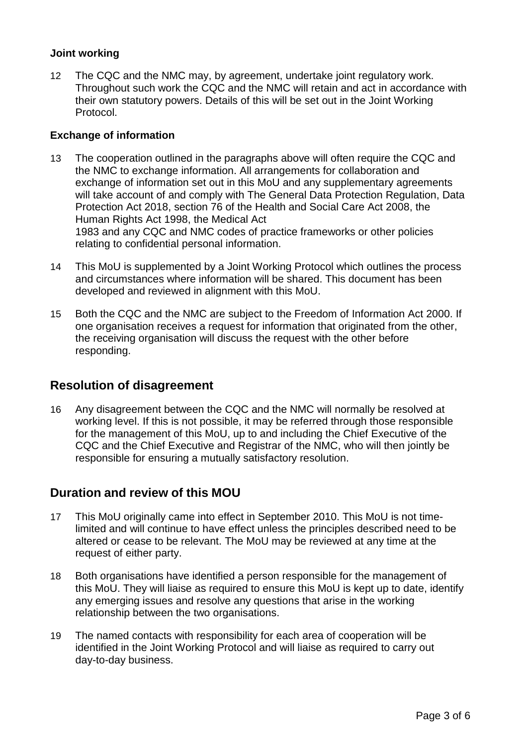#### **Joint working**

12 The CQC and the NMC may, by agreement, undertake joint regulatory work. Throughout such work the CQC and the NMC will retain and act in accordance with their own statutory powers. Details of this will be set out in the Joint Working Protocol.

#### **Exchange of information**

- 13 The cooperation outlined in the paragraphs above will often require the CQC and the NMC to exchange information. All arrangements for collaboration and exchange of information set out in this MoU and any supplementary agreements will take account of and comply with The General Data Protection Regulation, Data Protection Act 2018, section 76 of the Health and Social Care Act 2008, the Human Rights Act 1998, the Medical Act 1983 and any CQC and NMC codes of practice frameworks or other policies relating to confidential personal information.
- 14 This MoU is supplemented by a Joint Working Protocol which outlines the process and circumstances where information will be shared. This document has been developed and reviewed in alignment with this MoU.
- 15 Both the CQC and the NMC are subject to the Freedom of Information Act 2000. If one organisation receives a request for information that originated from the other, the receiving organisation will discuss the request with the other before responding.

## **Resolution of disagreement**

16 Any disagreement between the CQC and the NMC will normally be resolved at working level. If this is not possible, it may be referred through those responsible for the management of this MoU, up to and including the Chief Executive of the CQC and the Chief Executive and Registrar of the NMC, who will then jointly be responsible for ensuring a mutually satisfactory resolution.

## **Duration and review of this MOU**

- 17 This MoU originally came into effect in September 2010. This MoU is not timelimited and will continue to have effect unless the principles described need to be altered or cease to be relevant. The MoU may be reviewed at any time at the request of either party.
- 18 Both organisations have identified a person responsible for the management of this MoU. They will liaise as required to ensure this MoU is kept up to date, identify any emerging issues and resolve any questions that arise in the working relationship between the two organisations.
- 19 The named contacts with responsibility for each area of cooperation will be identified in the Joint Working Protocol and will liaise as required to carry out day-to-day business.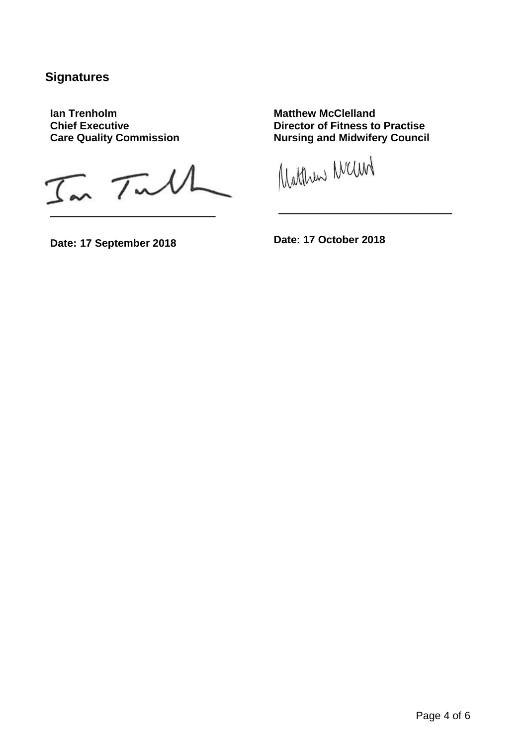## **Signatures**

**Ian Trenholm Chief Executive Care Quality Commission**

 $I_{\infty}$   $T_{\infty}M$ 

**Matthew McClelland Director of Fitness to Practise Nursing and Midwifery Council**

\_\_\_\_\_\_\_\_\_\_\_\_\_\_\_\_\_\_\_\_\_\_

Watthew Many

**Date: 17 September 2018**

**Date: 17 October 2018**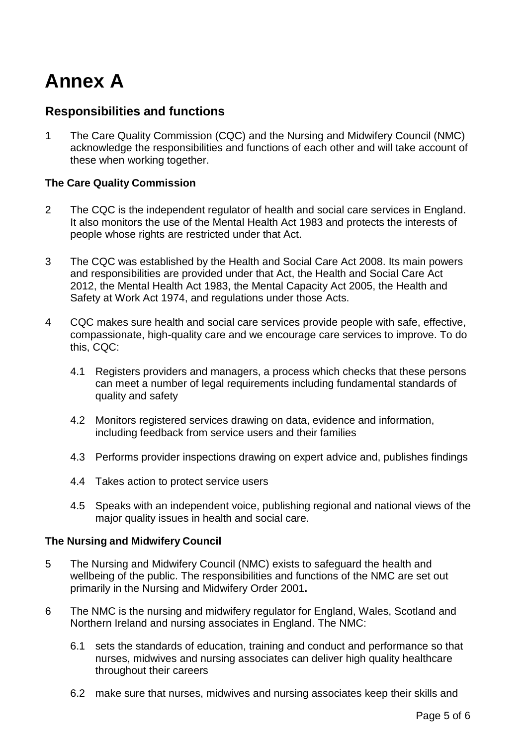# **Annex A**

## **Responsibilities and functions**

1 The Care Quality Commission (CQC) and the Nursing and Midwifery Council (NMC) acknowledge the responsibilities and functions of each other and will take account of these when working together.

#### **The Care Quality Commission**

- 2 The CQC is the independent regulator of health and social care services in England. It also monitors the use of the Mental Health Act 1983 and protects the interests of people whose rights are restricted under that Act.
- 3 The CQC was established by the Health and Social Care Act 2008. Its main powers and responsibilities are provided under that Act, the Health and Social Care Act 2012, the Mental Health Act 1983, the Mental Capacity Act 2005, the Health and Safety at Work Act 1974, and regulations under those Acts.
- 4 CQC makes sure health and social care services provide people with safe, effective, compassionate, high-quality care and we encourage care services to improve. To do this, CQC:
	- 4.1 Registers providers and managers, a process which checks that these persons can meet a number of legal requirements including fundamental standards of quality and safety
	- 4.2 Monitors registered services drawing on data, evidence and information, including feedback from service users and their families
	- 4.3 Performs provider inspections drawing on expert advice and, publishes findings
	- 4.4 Takes action to protect service users
	- 4.5 Speaks with an independent voice, publishing regional and national views of the major quality issues in health and social care.

#### **The Nursing and Midwifery Council**

- 5 The Nursing and Midwifery Council (NMC) exists to safeguard the health and wellbeing of the public. The responsibilities and functions of the NMC are set out primarily in the Nursing and Midwifery Order 2001**.**
- 6 The NMC is the nursing and midwifery regulator for England, Wales, Scotland and Northern Ireland and nursing associates in England. The NMC:
	- 6.1 sets the standards of education, training and conduct and performance so that nurses, midwives and nursing associates can deliver high quality healthcare throughout their careers
	- 6.2 make sure that nurses, midwives and nursing associates keep their skills and